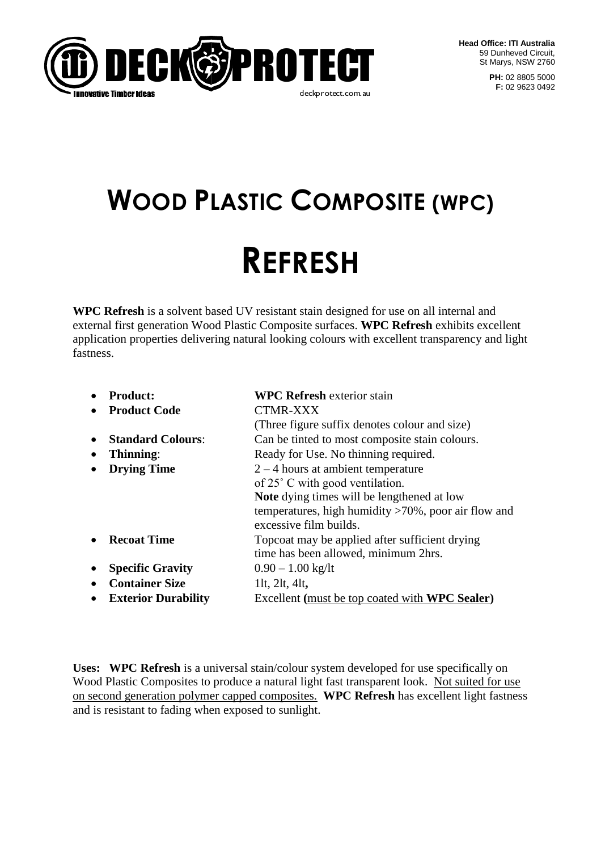

**PH:** 02 8805 5000 **F:** 02 9623 0492

# **WOOD PLASTIC COMPOSITE (WPC)**

# **REFRESH**

**WPC Refresh** is a solvent based UV resistant stain designed for use on all internal and external first generation Wood Plastic Composite surfaces. **WPC Refresh** exhibits excellent application properties delivering natural looking colours with excellent transparency and light fastness.

|           | <b>Product:</b>            | <b>WPC Refresh exterior stain</b>                                                 |
|-----------|----------------------------|-----------------------------------------------------------------------------------|
|           | <b>Product Code</b>        | <b>CTMR-XXX</b>                                                                   |
|           |                            | (Three figure suffix denotes colour and size)                                     |
|           | <b>Standard Colours:</b>   | Can be tinted to most composite stain colours.                                    |
| $\bullet$ | Thinning:                  | Ready for Use. No thinning required.                                              |
|           | <b>Drying Time</b>         | $2 - 4$ hours at ambient temperature                                              |
|           |                            | of 25° C with good ventilation.                                                   |
|           |                            | <b>Note</b> dying times will be lengthened at low                                 |
|           |                            | temperatures, high humidity $>70\%$ , poor air flow and<br>excessive film builds. |
|           |                            |                                                                                   |
|           | <b>Recoat Time</b>         | Topcoat may be applied after sufficient drying                                    |
|           |                            | time has been allowed, minimum 2hrs.                                              |
|           | <b>Specific Gravity</b>    | $0.90 - 1.00$ kg/lt                                                               |
|           | <b>Container Size</b>      | 11t, $2$ lt, $4$ lt,                                                              |
|           | <b>Exterior Durability</b> | Excellent (must be top coated with <b>WPC Sealer</b> )                            |

**Uses: WPC Refresh** is a universal stain/colour system developed for use specifically on Wood Plastic Composites to produce a natural light fast transparent look. Not suited for use on second generation polymer capped composites. **WPC Refresh** has excellent light fastness and is resistant to fading when exposed to sunlight.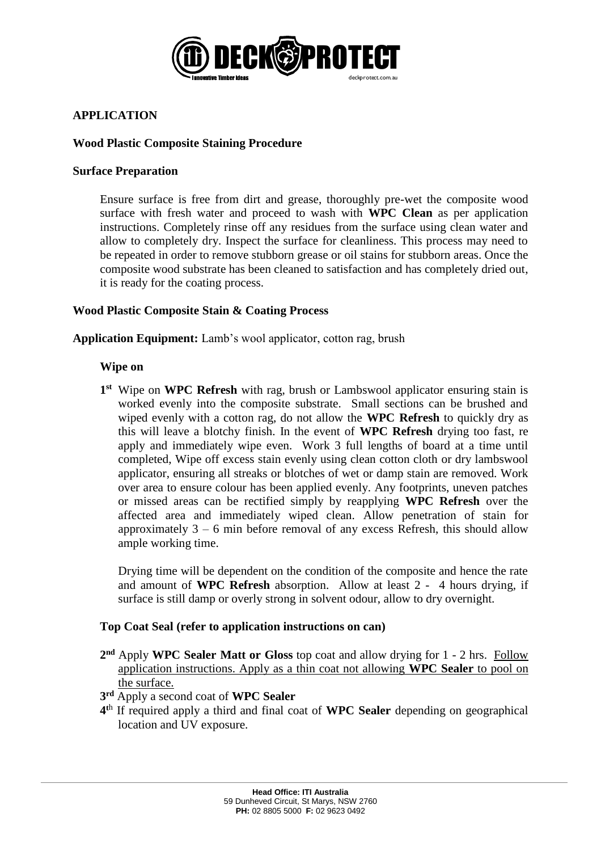

# **APPLICATION**

## **Wood Plastic Composite Staining Procedure**

#### **Surface Preparation**

Ensure surface is free from dirt and grease, thoroughly pre-wet the composite wood surface with fresh water and proceed to wash with **WPC Clean** as per application instructions. Completely rinse off any residues from the surface using clean water and allow to completely dry. Inspect the surface for cleanliness. This process may need to be repeated in order to remove stubborn grease or oil stains for stubborn areas. Once the composite wood substrate has been cleaned to satisfaction and has completely dried out, it is ready for the coating process.

## **Wood Plastic Composite Stain & Coating Process**

**Application Equipment:** Lamb's wool applicator, cotton rag, brush

#### **Wipe on**

**EDECHACTE TELEVIS AND THE THE SERVE THE TRANSFORM THE THE THE THE THE SURVENTIFY This off any residues from the surfly process.<br>
He is absend to wash with WPC yins off any residues from the surfly process.<br>
He is absended 1 st** Wipe on **WPC Refresh** with rag, brush or Lambswool applicator ensuring stain is worked evenly into the composite substrate. Small sections can be brushed and wiped evenly with a cotton rag, do not allow the **WPC Refresh** to quickly dry as this will leave a blotchy finish. In the event of **WPC Refresh** drying too fast, re apply and immediately wipe even. Work 3 full lengths of board at a time until completed, Wipe off excess stain evenly using clean cotton cloth or dry lambswool applicator, ensuring all streaks or blotches of wet or damp stain are removed. Work over area to ensure colour has been applied evenly. Any footprints, uneven patches or missed areas can be rectified simply by reapplying **WPC Refresh** over the affected area and immediately wiped clean. Allow penetration of stain for approximately  $3 - 6$  min before removal of any excess Refresh, this should allow ample working time.

Drying time will be dependent on the condition of the composite and hence the rate and amount of **WPC Refresh** absorption. Allow at least 2 - 4 hours drying, if surface is still damp or overly strong in solvent odour, allow to dry overnight.

#### **Top Coat Seal (refer to application instructions on can)**

- 2<sup>nd</sup> Apply WPC Sealer Matt or Gloss top coat and allow drying for 1 2 hrs. Follow application instructions. Apply as a thin coat not allowing **WPC Sealer** to pool on the surface.
- **3 rd** Apply a second coat of **WPC Sealer**
- **4 t**h If required apply a third and final coat of **WPC Sealer** depending on geographical location and UV exposure.